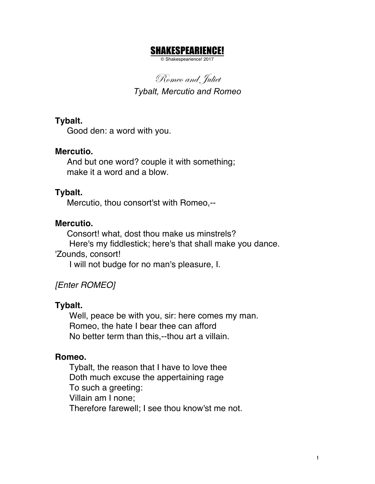## SHAKESPEARIENCE!

© Shakespearience! 2017

Romeo and, Juliet *Tybalt, Mercutio and Romeo*

**Tybalt.**

Good den: a word with you.

### **Mercutio.**

And but one word? couple it with something; make it a word and a blow.

### **Tybalt.**

Mercutio, thou consort'st with Romeo,--

### **Mercutio.**

 Consort! what, dost thou make us minstrels? Here's my fiddlestick; here's that shall make you dance. 'Zounds, consort! I will not budge for no man's pleasure, I.

# *[Enter ROMEO]*

### **Tybalt.**

Well, peace be with you, sir: here comes my man. Romeo, the hate I bear thee can afford No better term than this,--thou art a villain.

### **Romeo.**

 Tybalt, the reason that I have to love thee Doth much excuse the appertaining rage To such a greeting: Villain am I none; Therefore farewell; I see thou know'st me not.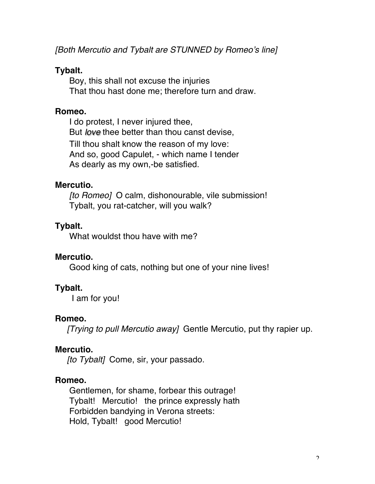*[Both Mercutio and Tybalt are STUNNED by Romeo's line]*

#### **Tybalt.**

Boy, this shall not excuse the injuries That thou hast done me; therefore turn and draw.

#### **Romeo.**

 I do protest, I never injured thee, But *love* thee better than thou canst devise, Till thou shalt know the reason of my love: And so, good Capulet, - which name I tender As dearly as my own,-be satisfied.

#### **Mercutio.**

 *[to Romeo]* O calm, dishonourable, vile submission! Tybalt, you rat-catcher, will you walk?

### **Tybalt.**

What wouldst thou have with me?

### **Mercutio.**

Good king of cats, nothing but one of your nine lives!

### **Tybalt.**

I am for you!

### **Romeo.**

*[Trying to pull Mercutio away]* Gentle Mercutio, put thy rapier up.

### **Mercutio.**

*[to Tybalt]* Come, sir, your passado.

### **Romeo.**

 Gentlemen, for shame, forbear this outrage! Tybalt! Mercutio! the prince expressly hath Forbidden bandying in Verona streets: Hold, Tybalt! good Mercutio!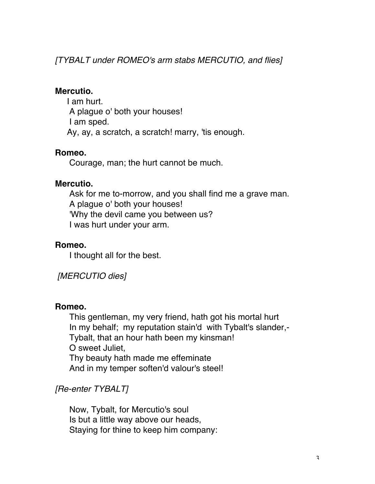*[TYBALT under ROMEO's arm stabs MERCUTIO, and flies]*

#### **Mercutio.**

I am hurt. A plague o' both your houses! I am sped. Ay, ay, a scratch, a scratch! marry, 'tis enough.

### **Romeo.**

Courage, man; the hurt cannot be much.

#### **Mercutio.**

 Ask for me to-morrow, and you shall find me a grave man. A plague o' both your houses! 'Why the devil came you between us? I was hurt under your arm.

### **Romeo.**

I thought all for the best.

### *[MERCUTIO dies]*

### **Romeo.**

 This gentleman, my very friend, hath got his mortal hurt In my behalf; my reputation stain'd with Tybalt's slander,- Tybalt, that an hour hath been my kinsman! O sweet Juliet, Thy beauty hath made me effeminate And in my temper soften'd valour's steel!

### *[Re-enter TYBALT]*

 Now, Tybalt, for Mercutio's soul Is but a little way above our heads, Staying for thine to keep him company: